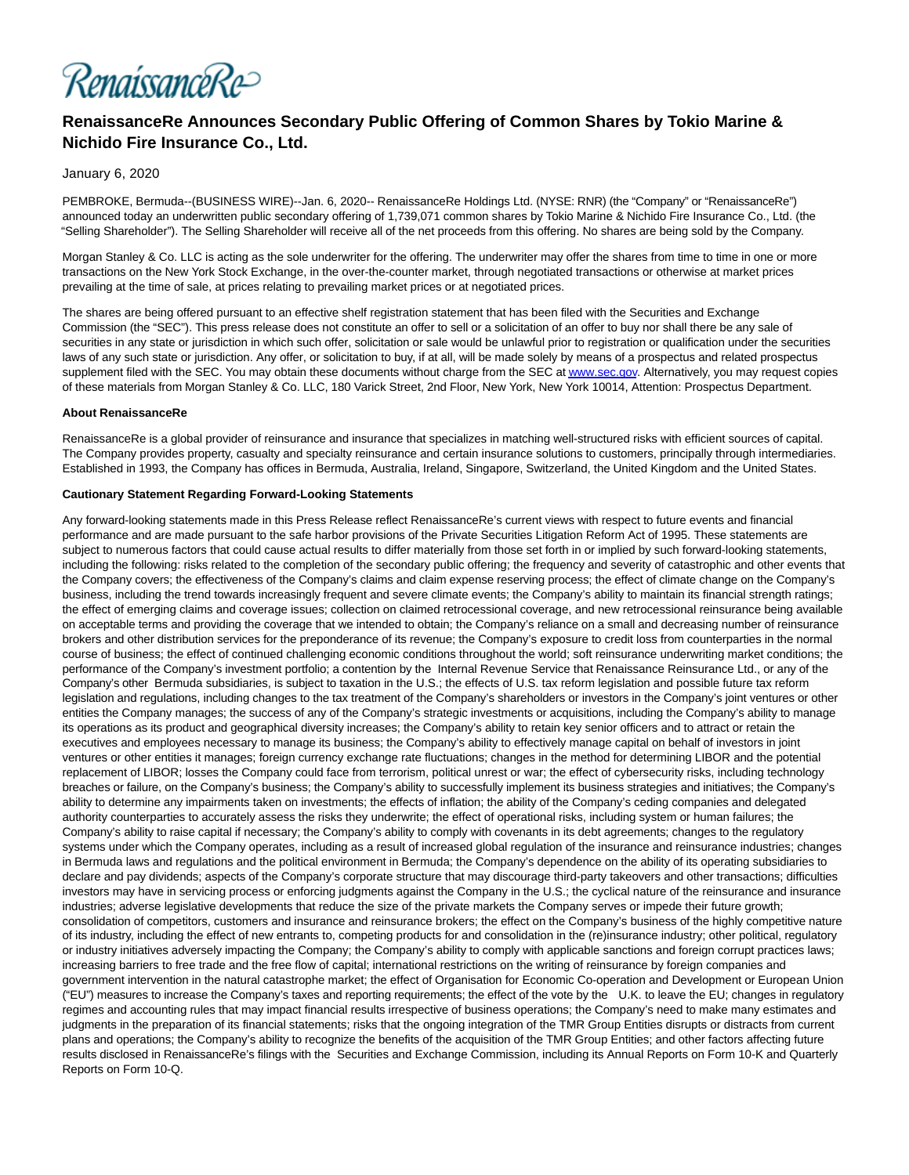RenaissanceRe>

# **RenaissanceRe Announces Secondary Public Offering of Common Shares by Tokio Marine & Nichido Fire Insurance Co., Ltd.**

#### January 6, 2020

PEMBROKE, Bermuda--(BUSINESS WIRE)--Jan. 6, 2020-- RenaissanceRe Holdings Ltd. (NYSE: RNR) (the "Company" or "RenaissanceRe") announced today an underwritten public secondary offering of 1,739,071 common shares by Tokio Marine & Nichido Fire Insurance Co., Ltd. (the "Selling Shareholder"). The Selling Shareholder will receive all of the net proceeds from this offering. No shares are being sold by the Company.

Morgan Stanley & Co. LLC is acting as the sole underwriter for the offering. The underwriter may offer the shares from time to time in one or more transactions on the New York Stock Exchange, in the over-the-counter market, through negotiated transactions or otherwise at market prices prevailing at the time of sale, at prices relating to prevailing market prices or at negotiated prices.

The shares are being offered pursuant to an effective shelf registration statement that has been filed with the Securities and Exchange Commission (the "SEC"). This press release does not constitute an offer to sell or a solicitation of an offer to buy nor shall there be any sale of securities in any state or jurisdiction in which such offer, solicitation or sale would be unlawful prior to registration or qualification under the securities laws of any such state or jurisdiction. Any offer, or solicitation to buy, if at all, will be made solely by means of a prospectus and related prospectus supplement filed with the SEC. You may obtain these documents without charge from the SEC a[t www.sec.gov.](https://cts.businesswire.com/ct/CT?id=smartlink&url=http%3A%2F%2Fwww.sec.gov&esheet=52153988&newsitemid=20200106005982&lan=en-US&anchor=www.sec.gov&index=1&md5=7910c37009457f57806af324d0796241) Alternatively, you may request copies of these materials from Morgan Stanley & Co. LLC, 180 Varick Street, 2nd Floor, New York, New York 10014, Attention: Prospectus Department.

#### **About RenaissanceRe**

RenaissanceRe is a global provider of reinsurance and insurance that specializes in matching well-structured risks with efficient sources of capital. The Company provides property, casualty and specialty reinsurance and certain insurance solutions to customers, principally through intermediaries. Established in 1993, the Company has offices in Bermuda, Australia, Ireland, Singapore, Switzerland, the United Kingdom and the United States.

#### **Cautionary Statement Regarding Forward-Looking Statements**

Any forward-looking statements made in this Press Release reflect RenaissanceRe's current views with respect to future events and financial performance and are made pursuant to the safe harbor provisions of the Private Securities Litigation Reform Act of 1995. These statements are subject to numerous factors that could cause actual results to differ materially from those set forth in or implied by such forward-looking statements, including the following: risks related to the completion of the secondary public offering; the frequency and severity of catastrophic and other events that the Company covers; the effectiveness of the Company's claims and claim expense reserving process; the effect of climate change on the Company's business, including the trend towards increasingly frequent and severe climate events; the Company's ability to maintain its financial strength ratings; the effect of emerging claims and coverage issues; collection on claimed retrocessional coverage, and new retrocessional reinsurance being available on acceptable terms and providing the coverage that we intended to obtain; the Company's reliance on a small and decreasing number of reinsurance brokers and other distribution services for the preponderance of its revenue; the Company's exposure to credit loss from counterparties in the normal course of business; the effect of continued challenging economic conditions throughout the world; soft reinsurance underwriting market conditions; the performance of the Company's investment portfolio; a contention by the Internal Revenue Service that Renaissance Reinsurance Ltd., or any of the Company's other Bermuda subsidiaries, is subject to taxation in the U.S.; the effects of U.S. tax reform legislation and possible future tax reform legislation and regulations, including changes to the tax treatment of the Company's shareholders or investors in the Company's joint ventures or other entities the Company manages; the success of any of the Company's strategic investments or acquisitions, including the Company's ability to manage its operations as its product and geographical diversity increases; the Company's ability to retain key senior officers and to attract or retain the executives and employees necessary to manage its business; the Company's ability to effectively manage capital on behalf of investors in joint ventures or other entities it manages; foreign currency exchange rate fluctuations; changes in the method for determining LIBOR and the potential replacement of LIBOR; losses the Company could face from terrorism, political unrest or war; the effect of cybersecurity risks, including technology breaches or failure, on the Company's business; the Company's ability to successfully implement its business strategies and initiatives; the Company's ability to determine any impairments taken on investments; the effects of inflation; the ability of the Company's ceding companies and delegated authority counterparties to accurately assess the risks they underwrite; the effect of operational risks, including system or human failures; the Company's ability to raise capital if necessary; the Company's ability to comply with covenants in its debt agreements; changes to the regulatory systems under which the Company operates, including as a result of increased global regulation of the insurance and reinsurance industries; changes in Bermuda laws and regulations and the political environment in Bermuda; the Company's dependence on the ability of its operating subsidiaries to declare and pay dividends; aspects of the Company's corporate structure that may discourage third-party takeovers and other transactions; difficulties investors may have in servicing process or enforcing judgments against the Company in the U.S.; the cyclical nature of the reinsurance and insurance industries; adverse legislative developments that reduce the size of the private markets the Company serves or impede their future growth; consolidation of competitors, customers and insurance and reinsurance brokers; the effect on the Company's business of the highly competitive nature of its industry, including the effect of new entrants to, competing products for and consolidation in the (re)insurance industry; other political, regulatory or industry initiatives adversely impacting the Company; the Company's ability to comply with applicable sanctions and foreign corrupt practices laws; increasing barriers to free trade and the free flow of capital; international restrictions on the writing of reinsurance by foreign companies and government intervention in the natural catastrophe market; the effect of Organisation for Economic Co-operation and Development or European Union ("EU") measures to increase the Company's taxes and reporting requirements; the effect of the vote by the U.K. to leave the EU; changes in regulatory regimes and accounting rules that may impact financial results irrespective of business operations; the Company's need to make many estimates and judgments in the preparation of its financial statements; risks that the ongoing integration of the TMR Group Entities disrupts or distracts from current plans and operations; the Company's ability to recognize the benefits of the acquisition of the TMR Group Entities; and other factors affecting future results disclosed in RenaissanceRe's filings with the Securities and Exchange Commission, including its Annual Reports on Form 10-K and Quarterly Reports on Form 10-Q.